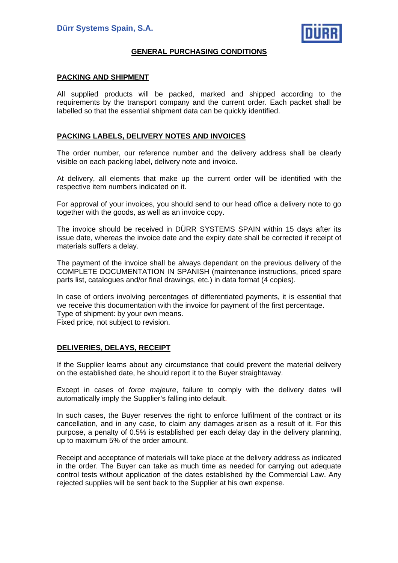

## **GENERAL PURCHASING CONDITIONS**

#### **PACKING AND SHIPMENT**

All supplied products will be packed, marked and shipped according to the requirements by the transport company and the current order. Each packet shall be labelled so that the essential shipment data can be quickly identified.

#### **PACKING LABELS, DELIVERY NOTES AND INVOICES**

The order number, our reference number and the delivery address shall be clearly visible on each packing label, delivery note and invoice.

At delivery, all elements that make up the current order will be identified with the respective item numbers indicated on it.

For approval of your invoices, you should send to our head office a delivery note to go together with the goods, as well as an invoice copy.

The invoice should be received in DÜRR SYSTEMS SPAIN within 15 days after its issue date, whereas the invoice date and the expiry date shall be corrected if receipt of materials suffers a delay.

The payment of the invoice shall be always dependant on the previous delivery of the COMPLETE DOCUMENTATION IN SPANISH (maintenance instructions, priced spare parts list, catalogues and/or final drawings, etc.) in data format (4 copies).

In case of orders involving percentages of differentiated payments, it is essential that we receive this documentation with the invoice for payment of the first percentage. Type of shipment: by your own means. Fixed price, not subject to revision.

### **DELIVERIES, DELAYS, RECEIPT**

If the Supplier learns about any circumstance that could prevent the material delivery on the established date, he should report it to the Buyer straightaway.

Except in cases of *force majeure*, failure to comply with the delivery dates will automatically imply the Supplier's falling into default.

In such cases, the Buyer reserves the right to enforce fulfilment of the contract or its cancellation, and in any case, to claim any damages arisen as a result of it. For this purpose, a penalty of 0.5% is established per each delay day in the delivery planning, up to maximum 5% of the order amount.

Receipt and acceptance of materials will take place at the delivery address as indicated in the order. The Buyer can take as much time as needed for carrying out adequate control tests without application of the dates established by the Commercial Law. Any rejected supplies will be sent back to the Supplier at his own expense.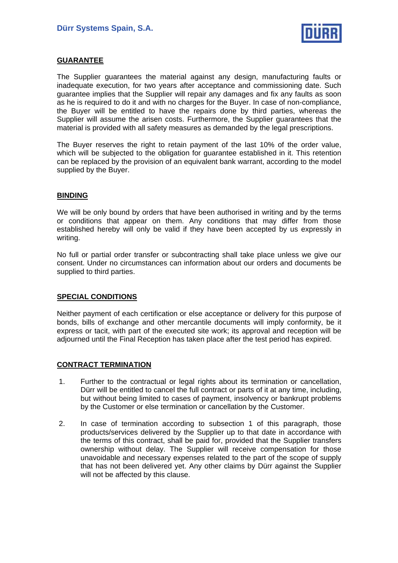

## **GUARANTEE**

The Supplier guarantees the material against any design, manufacturing faults or inadequate execution, for two years after acceptance and commissioning date. Such guarantee implies that the Supplier will repair any damages and fix any faults as soon as he is required to do it and with no charges for the Buyer. In case of non-compliance, the Buyer will be entitled to have the repairs done by third parties, whereas the Supplier will assume the arisen costs. Furthermore, the Supplier guarantees that the material is provided with all safety measures as demanded by the legal prescriptions.

The Buyer reserves the right to retain payment of the last 10% of the order value, which will be subjected to the obligation for guarantee established in it. This retention can be replaced by the provision of an equivalent bank warrant, according to the model supplied by the Buyer.

### **BINDING**

We will be only bound by orders that have been authorised in writing and by the terms or conditions that appear on them. Any conditions that may differ from those established hereby will only be valid if they have been accepted by us expressly in writing.

No full or partial order transfer or subcontracting shall take place unless we give our consent. Under no circumstances can information about our orders and documents be supplied to third parties.

### **SPECIAL CONDITIONS**

Neither payment of each certification or else acceptance or delivery for this purpose of bonds, bills of exchange and other mercantile documents will imply conformity, be it express or tacit, with part of the executed site work; its approval and reception will be adjourned until the Final Reception has taken place after the test period has expired.

#### **CONTRACT TERMINATION**

- 1. Further to the contractual or legal rights about its termination or cancellation, Dürr will be entitled to cancel the full contract or parts of it at any time, including, but without being limited to cases of payment, insolvency or bankrupt problems by the Customer or else termination or cancellation by the Customer.
- 2. In case of termination according to subsection 1 of this paragraph, those products/services delivered by the Supplier up to that date in accordance with the terms of this contract, shall be paid for, provided that the Supplier transfers ownership without delay. The Supplier will receive compensation for those unavoidable and necessary expenses related to the part of the scope of supply that has not been delivered yet. Any other claims by Dürr against the Supplier will not be affected by this clause.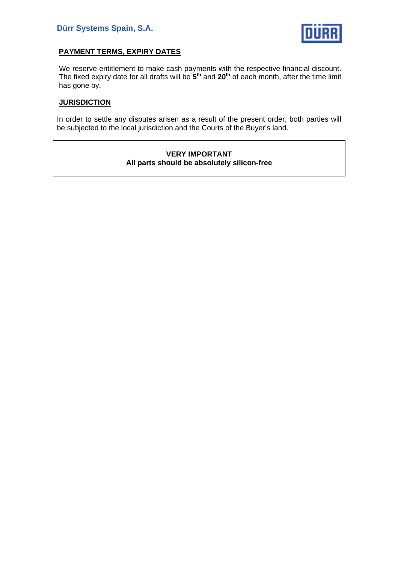

## **PAYMENT TERMS, EXPIRY DATES**

We reserve entitlement to make cash payments with the respective financial discount. The fixed expiry date for all drafts will be **5th** and **20th** of each month, after the time limit has gone by.

## **JURISDICTION**

In order to settle any disputes arisen as a result of the present order, both parties will be subjected to the local jurisdiction and the Courts of the Buyer's land.

#### **VERY IMPORTANT All parts should be absolutely silicon-free**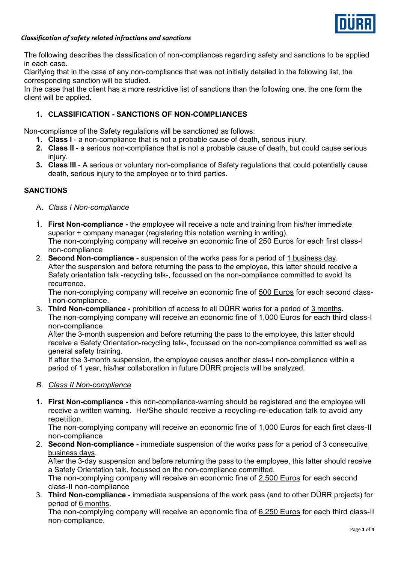

### *Classification of safety related infractions and sanctions*

The following describes the classification of non-compliances regarding safety and sanctions to be applied in each case.

Clarifying that in the case of any non-compliance that was not initially detailed in the following list, the corresponding sanction will be studied.

In the case that the client has a more restrictive list of sanctions than the following one, the one form the client will be applied.

### **1. CLASSIFICATION - SANCTIONS OF NON-COMPLIANCES**

Non-compliance of the Safety regulations will be sanctioned as follows:

- **1. Class I** a non-compliance that is not a probable cause of death, serious injury.
- **2. Class II** a serious non-compliance that is not a probable cause of death, but could cause serious injury.
- **3. Class III**  A serious or voluntary non-compliance of Safety regulations that could potentially cause death, serious injury to the employee or to third parties.

#### **SANCTIONS**

- A. *Class I Non-compliance*
- 1. **First Non-compliance -** the employee will receive a note and training from his/her immediate superior + company manager (registering this notation warning in writing). The non-complying company will receive an economic fine of 250 Euros for each first class-I non-compliance
- 2. **Second Non-compliance -** suspension of the works pass for a period of 1 business day. After the suspension and before returning the pass to the employee, this latter should receive a Safety orientation talk -recycling talk-, focussed on the non-compliance committed to avoid its recurrence.

The non-complying company will receive an economic fine of 500 Euros for each second class-I non-compliance.

3. **Third Non-compliance -** prohibition of access to all DÜRR works for a period of 3 months. The non-complying company will receive an economic fine of 1,000 Euros for each third class-I non-compliance

After the 3-month suspension and before returning the pass to the employee, this latter should receive a Safety Orientation-recycling talk-, focussed on the non-compliance committed as well as general safety training.

If after the 3-month suspension, the employee causes another class-I non-compliance within a period of 1 year, his/her collaboration in future DÜRR projects will be analyzed.

#### *B. Class II Non-compliance*

**1. First Non-compliance -** this non-compliance-warning should be registered and the employee will receive a written warning. He/She should receive a recycling-re-education talk to avoid any repetition.

The non-complying company will receive an economic fine of 1,000 Euros for each first class-II non-compliance

2. **Second Non-compliance -** immediate suspension of the works pass for a period of 3 consecutive business days.

After the 3-day suspension and before returning the pass to the employee, this latter should receive a Safety Orientation talk, focussed on the non-compliance committed.

The non-complying company will receive an economic fine of 2,500 Euros for each second class-II non-compliance

3. **Third Non-compliance -** immediate suspensions of the work pass (and to other DÜRR projects) for period of 6 months.

The non-complying company will receive an economic fine of 6,250 Euros for each third class-II non-compliance.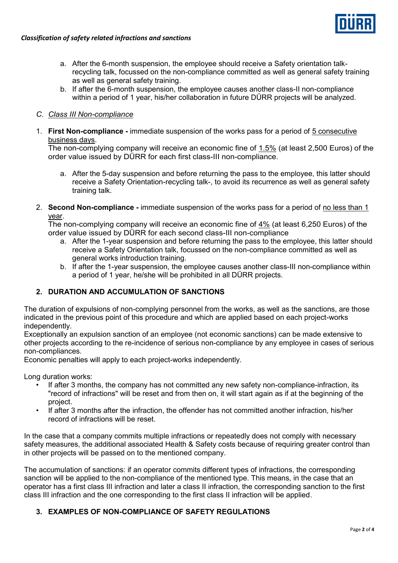

- a. After the 6-month suspension, the employee should receive a Safety orientation talkrecycling talk, focussed on the non-compliance committed as well as general safety training as well as general safety training.
- b. If after the 6-month suspension, the employee causes another class-II non-compliance within a period of 1 year, his/her collaboration in future DÜRR projects will be analyzed.

## *C. Class III Non-compliance*

1. **First Non-compliance -** immediate suspension of the works pass for a period of 5 consecutive business days.

The non-complying company will receive an economic fine of 1.5% (at least 2,500 Euros) of the order value issued by DÜRR for each first class-III non-compliance.

- a. After the 5-day suspension and before returning the pass to the employee, this latter should receive a Safety Orientation-recycling talk-, to avoid its recurrence as well as general safety training talk.
- 2. **Second Non-compliance -** immediate suspension of the works pass for a period of no less than 1 year.

The non-complying company will receive an economic fine of 4% (at least 6,250 Euros) of the order value issued by DÜRR for each second class-III non-compliance

- a. After the 1-year suspension and before returning the pass to the employee, this latter should receive a Safety Orientation talk, focussed on the non-compliance committed as well as general works introduction training.
- b. If after the 1-year suspension, the employee causes another class-III non-compliance within a period of 1 year, he/she will be prohibited in all DÜRR projects.

## **2. DURATION AND ACCUMULATION OF SANCTIONS**

The duration of expulsions of non-complying personnel from the works, as well as the sanctions, are those indicated in the previous point of this procedure and which are applied based on each project-works independently.

Exceptionally an expulsion sanction of an employee (not economic sanctions) can be made extensive to other projects according to the re-incidence of serious non-compliance by any employee in cases of serious non-compliances.

Economic penalties will apply to each project-works independently.

Long duration works:

- If after 3 months, the company has not committed any new safety non-compliance-infraction, its "record of infractions" will be reset and from then on, it will start again as if at the beginning of the project.
- If after 3 months after the infraction, the offender has not committed another infraction, his/her record of infractions will be reset.

In the case that a company commits multiple infractions or repeatedly does not comply with necessary safety measures, the additional associated Health & Safety costs because of requiring greater control than in other projects will be passed on to the mentioned company.

The accumulation of sanctions: if an operator commits different types of infractions, the corresponding sanction will be applied to the non-compliance of the mentioned type. This means, in the case that an operator has a first class III infraction and later a class II infraction, the corresponding sanction to the first class III infraction and the one corresponding to the first class II infraction will be applied.

## **3. EXAMPLES OF NON-COMPLIANCE OF SAFETY REGULATIONS**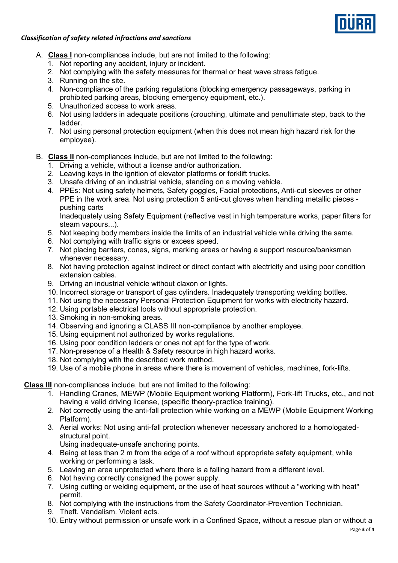

### *Classification of safety related infractions and sanctions*

- A. **Class I** non-compliances include, but are not limited to the following:
	- 1. Not reporting any accident, injury or incident.
	- 2. Not complying with the safety measures for thermal or heat wave stress fatigue.
	- 3. Running on the site.
	- 4. Non-compliance of the parking regulations (blocking emergency passageways, parking in prohibited parking areas, blocking emergency equipment, etc.).
	- 5. Unauthorized access to work areas.
	- 6. Not using ladders in adequate positions (crouching, ultimate and penultimate step, back to the ladder.
	- 7. Not using personal protection equipment (when this does not mean high hazard risk for the employee).

## B. **Class II** non-compliances include, but are not limited to the following:

- 1. Driving a vehicle, without a license and/or authorization.
- 2. Leaving keys in the ignition of elevator platforms or forklift trucks.
- 3. Unsafe driving of an industrial vehicle, standing on a moving vehicle.
- 4. PPEs: Not using safety helmets, Safety goggles, Facial protections, Anti-cut sleeves or other PPE in the work area. Not using protection 5 anti-cut gloves when handling metallic pieces pushing carts

Inadequately using Safety Equipment (reflective vest in high temperature works, paper filters for steam vapours...).

- 5. Not keeping body members inside the limits of an industrial vehicle while driving the same.
- 6. Not complying with traffic signs or excess speed.
- 7. Not placing barriers, cones, signs, marking areas or having a support resource/banksman whenever necessary.
- 8. Not having protection against indirect or direct contact with electricity and using poor condition extension cables.
- 9. Driving an industrial vehicle without claxon or lights.
- 10. Incorrect storage or transport of gas cylinders. Inadequately transporting welding bottles.
- 11. Not using the necessary Personal Protection Equipment for works with electricity hazard.
- 12. Using portable electrical tools without appropriate protection.
- 13. Smoking in non-smoking areas.
- 14. Observing and ignoring a CLASS III non-compliance by another employee.
- 15. Using equipment not authorized by works regulations.
- 16. Using poor condition ladders or ones not apt for the type of work.
- 17. Non-presence of a Health & Safety resource in high hazard works.
- 18. Not complying with the described work method.
- 19. Use of a mobile phone in areas where there is movement of vehicles, machines, fork-lifts.

**Class III** non-compliances include, but are not limited to the following:

- 1. Handling Cranes, MEWP (Mobile Equipment working Platform), Fork-lift Trucks, etc., and not having a valid driving license, (specific theory-practice training).
- 2. Not correctly using the anti-fall protection while working on a MEWP (Mobile Equipment Working Platform).
- 3. Aerial works: Not using anti-fall protection whenever necessary anchored to a homologatedstructural point.
	- Using inadequate-unsafe anchoring points.
- 4. Being at less than 2 m from the edge of a roof without appropriate safety equipment, while working or performing a task.
- 5. Leaving an area unprotected where there is a falling hazard from a different level.
- 6. Not having correctly consigned the power supply.
- 7. Using cutting or welding equipment, or the use of heat sources without a "working with heat" permit.
- 8. Not complying with the instructions from the Safety Coordinator-Prevention Technician.
- 9. Theft. Vandalism. Violent acts.
- 10. Entry without permission or unsafe work in a Confined Space, without a rescue plan or without a